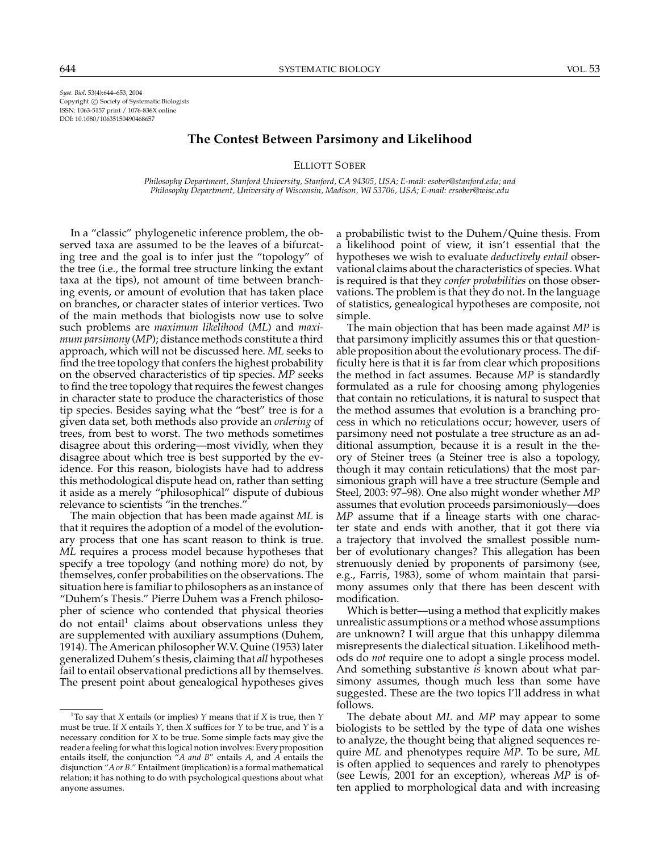# **The Contest Between Parsimony and Likelihood**

ELLIOTT SOBER

*Philosophy Department, Stanford University, Stanford, CA 94305, USA; E-mail: esober@stanford.edu; and Philosophy Department, University of Wisconsin, Madison, WI 53706, USA; E-mail: ersober@wisc.edu*

In a "classic" phylogenetic inference problem, the observed taxa are assumed to be the leaves of a bifurcating tree and the goal is to infer just the "topology" of the tree (i.e., the formal tree structure linking the extant taxa at the tips), not amount of time between branching events, or amount of evolution that has taken place on branches, or character states of interior vertices. Two of the main methods that biologists now use to solve such problems are *maximum likelihood* (*ML*) and *maximum parsimony* (*MP*); distance methods constitute a third approach, which will not be discussed here. *ML* seeks to find the tree topology that confers the highest probability on the observed characteristics of tip species. *MP* seeks to find the tree topology that requires the fewest changes in character state to produce the characteristics of those tip species. Besides saying what the "best" tree is for a given data set, both methods also provide an *ordering* of trees, from best to worst. The two methods sometimes disagree about this ordering—most vividly, when they disagree about which tree is best supported by the evidence. For this reason, biologists have had to address this methodological dispute head on, rather than setting it aside as a merely "philosophical" dispute of dubious relevance to scientists "in the trenches."

The main objection that has been made against *ML* is that it requires the adoption of a model of the evolutionary process that one has scant reason to think is true. *ML* requires a process model because hypotheses that specify a tree topology (and nothing more) do not, by themselves, confer probabilities on the observations. The situation here is familiar to philosophers as an instance of "Duhem's Thesis." Pierre Duhem was a French philosopher of science who contended that physical theories  $\alpha$  not entail<sup>1</sup> claims about observations unless they are supplemented with auxiliary assumptions (Duhem, 1914). The American philosopher W.V. Quine (1953) later generalized Duhem's thesis, claiming that *all* hypotheses fail to entail observational predictions all by themselves. The present point about genealogical hypotheses gives a probabilistic twist to the Duhem/Quine thesis. From a likelihood point of view, it isn't essential that the hypotheses we wish to evaluate *deductively entail* observational claims about the characteristics of species. What is required is that they *confer probabilities* on those observations. The problem is that they do not. In the language of statistics, genealogical hypotheses are composite, not simple.

The main objection that has been made against *MP* is that parsimony implicitly assumes this or that questionable proposition about the evolutionary process. The difficulty here is that it is far from clear which propositions the method in fact assumes. Because *MP* is standardly formulated as a rule for choosing among phylogenies that contain no reticulations, it is natural to suspect that the method assumes that evolution is a branching process in which no reticulations occur; however, users of parsimony need not postulate a tree structure as an additional assumption, because it is a result in the theory of Steiner trees (a Steiner tree is also a topology, though it may contain reticulations) that the most parsimonious graph will have a tree structure (Semple and Steel, 2003: 97–98). One also might wonder whether *MP* assumes that evolution proceeds parsimoniously—does *MP* assume that if a lineage starts with one character state and ends with another, that it got there via a trajectory that involved the smallest possible number of evolutionary changes? This allegation has been strenuously denied by proponents of parsimony (see, e.g., Farris, 1983), some of whom maintain that parsimony assumes only that there has been descent with modification.

Which is better—using a method that explicitly makes unrealistic assumptions or a method whose assumptions are unknown? I will argue that this unhappy dilemma misrepresents the dialectical situation. Likelihood methods do *not* require one to adopt a single process model. And something substantive *is* known about what parsimony assumes, though much less than some have suggested. These are the two topics I'll address in what follows.

The debate about *ML* and *MP* may appear to some biologists to be settled by the type of data one wishes to analyze, the thought being that aligned sequences require *ML* and phenotypes require *MP*. To be sure, *ML* is often applied to sequences and rarely to phenotypes (see Lewis, 2001 for an exception), whereas *MP* is often applied to morphological data and with increasing

<sup>1</sup>To say that *X* entails (or implies) *Y* means that if *X* is true, then *Y* must be true. If *X* entails *Y*, then *X* suffices for *Y* to be true, and *Y* is a necessary condition for *X* to be true. Some simple facts may give the reader a feeling for what this logical notion involves: Every proposition entails itself, the conjunction "*A and B*" entails *A*, and *A* entails the disjunction "*A or B*." Entailment (implication) is a formal mathematical relation; it has nothing to do with psychological questions about what anyone assumes.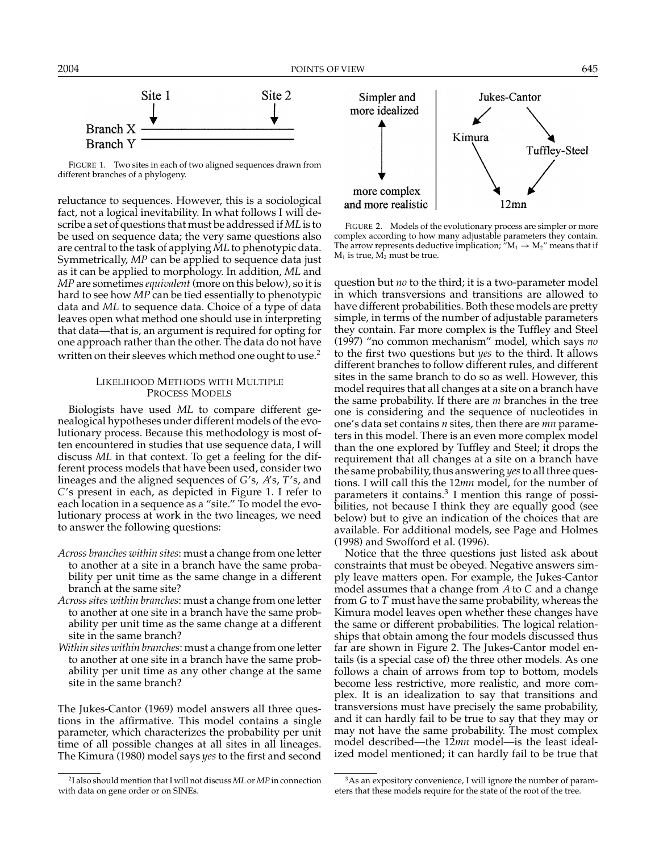

FIGURE 1. Two sites in each of two aligned sequences drawn from different branches of a phylogeny.

reluctance to sequences. However, this is a sociological fact, not a logical inevitability. In what follows I will describe a set of questions that must be addressed if *ML* is to be used on sequence data; the very same questions also are central to the task of applying *ML* to phenotypic data. Symmetrically, *MP* can be applied to sequence data just as it can be applied to morphology. In addition, *ML* and *MP* are sometimes *equivalent* (more on this below), so it is hard to see how *MP* can be tied essentially to phenotypic data and *ML* to sequence data. Choice of a type of data leaves open what method one should use in interpreting that data—that is, an argument is required for opting for one approach rather than the other. The data do not have written on their sleeves which method one ought to use.<sup>2</sup>

### LIKELIHOOD METHODS WITH MULTIPLE PROCESS MODELS

Biologists have used *ML* to compare different genealogical hypotheses under different models of the evolutionary process. Because this methodology is most often encountered in studies that use sequence data, I will discuss *ML* in that context. To get a feeling for the different process models that have been used, consider two lineages and the aligned sequences of *G*'s, *A*'s, *T*'s, and *C*'s present in each, as depicted in Figure 1. I refer to each location in a sequence as a "site." To model the evolutionary process at work in the two lineages, we need to answer the following questions:

- *Across branches within sites*: must a change from one letter to another at a site in a branch have the same probability per unit time as the same change in a different branch at the same site?
- *Across sites within branches*: must a change from one letter to another at one site in a branch have the same probability per unit time as the same change at a different site in the same branch?
- *Within sites within branches*: must a change from one letter to another at one site in a branch have the same probability per unit time as any other change at the same site in the same branch?

The Jukes-Cantor (1969) model answers all three questions in the affirmative. This model contains a single parameter, which characterizes the probability per unit time of all possible changes at all sites in all lineages. The Kimura (1980) model says *yes* to the first and second



FIGURE 2. Models of the evolutionary process are simpler or more complex according to how many adjustable parameters they contain. The arrow represents deductive implication; " $M_1 \rightarrow M_2$ " means that if  $M_1$  is true,  $M_2$  must be true.

question but *no* to the third; it is a two-parameter model in which transversions and transitions are allowed to have different probabilities. Both these models are pretty simple, in terms of the number of adjustable parameters they contain. Far more complex is the Tuffley and Steel (1997) "no common mechanism" model, which says *no* to the first two questions but *yes* to the third. It allows different branches to follow different rules, and different sites in the same branch to do so as well. However, this model requires that all changes at a site on a branch have the same probability. If there are *m* branches in the tree one is considering and the sequence of nucleotides in one's data set contains *n* sites, then there are *mn* parameters in this model. There is an even more complex model than the one explored by Tuffley and Steel; it drops the requirement that all changes at a site on a branch have the same probability, thus answering *yes*to all three questions. I will call this the 12*mn* model, for the number of parameters it contains. $3$  I mention this range of possibilities, not because I think they are equally good (see below) but to give an indication of the choices that are available. For additional models, see Page and Holmes (1998) and Swofford et al. (1996).

Notice that the three questions just listed ask about constraints that must be obeyed. Negative answers simply leave matters open. For example, the Jukes-Cantor model assumes that a change from *A* to *C* and a change from *G* to *T* must have the same probability, whereas the Kimura model leaves open whether these changes have the same or different probabilities. The logical relationships that obtain among the four models discussed thus far are shown in Figure 2. The Jukes-Cantor model entails (is a special case of) the three other models. As one follows a chain of arrows from top to bottom, models become less restrictive, more realistic, and more complex. It is an idealization to say that transitions and transversions must have precisely the same probability, and it can hardly fail to be true to say that they may or may not have the same probability. The most complex model described—the 12*mn* model—is the least idealized model mentioned; it can hardly fail to be true that

<sup>2</sup>I also should mention that I will not discuss *ML* or *MP* in connection with data on gene order or on SINEs.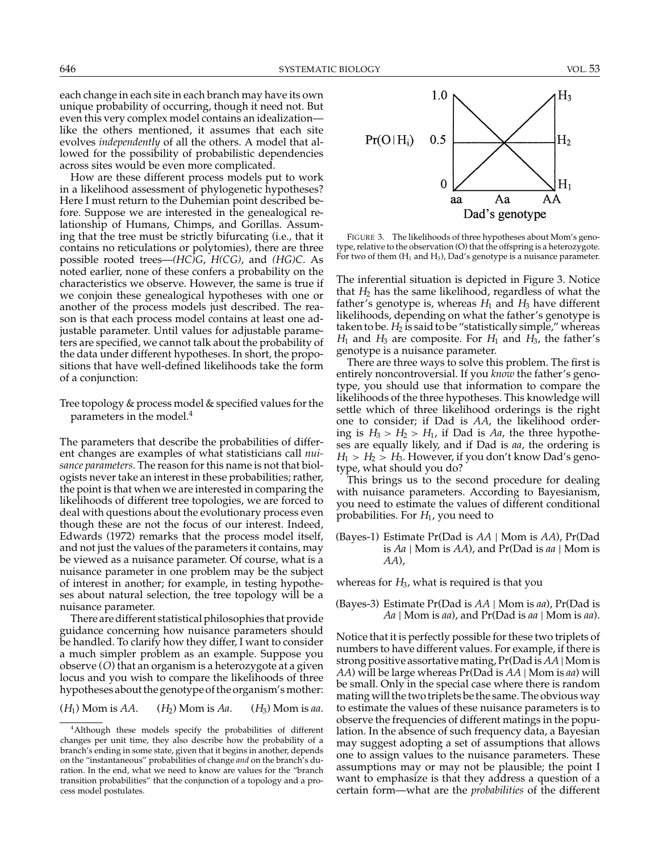each change in each site in each branch may have its own unique probability of occurring, though it need not. But even this very complex model contains an idealization like the others mentioned, it assumes that each site evolves *independently* of all the others. A model that allowed for the possibility of probabilistic dependencies across sites would be even more complicated.

How are these different process models put to work in a likelihood assessment of phylogenetic hypotheses? Here I must return to the Duhemian point described before. Suppose we are interested in the genealogical relationship of Humans, Chimps, and Gorillas. Assuming that the tree must be strictly bifurcating (i.e., that it contains no reticulations or polytomies), there are three possible rooted trees—*(HC)G*, *H(CG)*, and *(HG)C*. As noted earlier, none of these confers a probability on the characteristics we observe. However, the same is true if we conjoin these genealogical hypotheses with one or another of the process models just described. The reason is that each process model contains at least one adjustable parameter. Until values for adjustable parameters are specified, we cannot talk about the probability of the data under different hypotheses. In short, the propositions that have well-defined likelihoods take the form of a conjunction:

Tree topology & process model & specified values for the parameters in the model.<sup>4</sup>

The parameters that describe the probabilities of different changes are examples of what statisticians call *nuisance parameters*. The reason for this name is not that biologists never take an interest in these probabilities; rather, the point is that when we are interested in comparing the likelihoods of different tree topologies, we are forced to deal with questions about the evolutionary process even though these are not the focus of our interest. Indeed, Edwards (1972) remarks that the process model itself, and not just the values of the parameters it contains, may be viewed as a nuisance parameter. Of course, what is a nuisance parameter in one problem may be the subject of interest in another; for example, in testing hypotheses about natural selection, the tree topology will be a nuisance parameter.

There are different statistical philosophies that provide guidance concerning how nuisance parameters should be handled. To clarify how they differ, I want to consider a much simpler problem as an example. Suppose you observe (*O*) that an organism is a heterozygote at a given locus and you wish to compare the likelihoods of three hypotheses about the genotype of the organism's mother:

(*H*1) Mom is *AA*. (*H*2) Mom is *Aa*. (*H*3) Mom is *aa*.



FIGURE 3. The likelihoods of three hypotheses about Mom's genotype, relative to the observation (O) that the offspring is a heterozygote. For two of them  $(H_1 \text{ and } H_3)$ , Dad's genotype is a nuisance parameter.

The inferential situation is depicted in Figure 3. Notice that *H*<sup>2</sup> has the same likelihood, regardless of what the father's genotype is, whereas  $H_1$  and  $H_3$  have different likelihoods, depending on what the father's genotype is taken to be.  $H_2$  is said to be "statistically simple," whereas  $H_1$  and  $H_3$  are composite. For  $H_1$  and  $H_3$ , the father's genotype is a nuisance parameter.

There are three ways to solve this problem. The first is entirely noncontroversial. If you *know* the father's genotype, you should use that information to compare the likelihoods of the three hypotheses. This knowledge will settle which of three likelihood orderings is the right one to consider; if Dad is *AA*, the likelihood ordering is  $H_3 > H_2 > H_1$ , if Dad is Aa, the three hypotheses are equally likely, and if Dad is *aa*, the ordering is  $H_1 > H_2 > H_3$ . However, if you don't know Dad's genotype, what should you do?

This brings us to the second procedure for dealing with nuisance parameters. According to Bayesianism, you need to estimate the values of different conditional probabilities. For *H*1, you need to

(Bayes-1) Estimate Pr(Dad is *AA* | Mom is *AA*), Pr(Dad is *Aa* | Mom is *AA*), and Pr(Dad is *aa* | Mom is *AA*),

whereas for *H*3, what is required is that you

(Bayes-3) Estimate Pr(Dad is *AA* | Mom is *aa*), Pr(Dad is *Aa* | Mom is *aa*), and Pr(Dad is *aa* | Mom is *aa*).

Notice that it is perfectly possible for these two triplets of numbers to have different values. For example, if there is strong positive assortative mating, Pr(Dad is *AA* |Mom is *AA*) will be large whereas Pr(Dad is *AA* | Mom is *aa*) will be small. Only in the special case where there is random mating will the two triplets be the same. The obvious way to estimate the values of these nuisance parameters is to observe the frequencies of different matings in the population. In the absence of such frequency data, a Bayesian may suggest adopting a set of assumptions that allows one to assign values to the nuisance parameters. These assumptions may or may not be plausible; the point I want to emphasize is that they address a question of a certain form—what are the *probabilities* of the different

<sup>4</sup>Although these models specify the probabilities of different changes per unit time, they also describe how the probability of a branch's ending in some state, given that it begins in another, depends on the "instantaneous" probabilities of change *and* on the branch's duration. In the end, what we need to know are values for the "branch transition probabilities" that the conjunction of a topology and a process model postulates.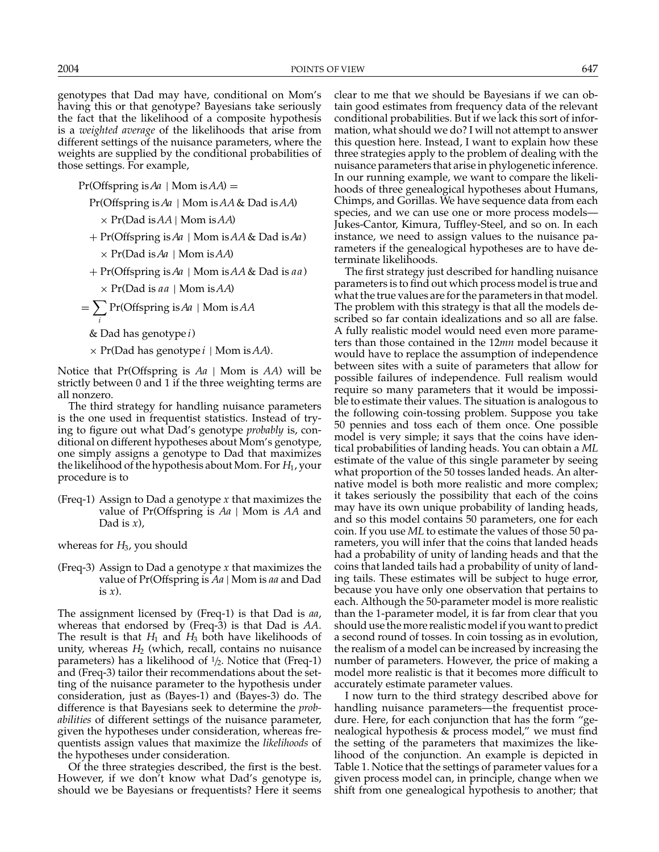genotypes that Dad may have, conditional on Mom's having this or that genotype? Bayesians take seriously the fact that the likelihood of a composite hypothesis is a *weighted average* of the likelihoods that arise from different settings of the nuisance parameters, where the weights are supplied by the conditional probabilities of those settings. For example,

Pr(Offspring is*Aa* | Mom is*AA*) =

Pr(Offspring is*Aa* | Mom is*AA* & Dad is*AA*)

× Pr(Dad is*AA* | Mom is*AA*)

+ Pr(Offspring is*Aa* | Mom is*AA* & Dad is*Aa*)

× Pr(Dad is*Aa* | Mom is*AA*)

+ Pr(Offspring is*Aa* | Mom is*AA* & Dad is *aa*)

× Pr(Dad is *aa* | Mom is*AA*)

<sup>=</sup> Pr(Offspring is*Aa* | Mom is*AA i*

& Dad has genotype *i*)

× Pr(Dad has genotype *i* | Mom is*AA*).

Notice that Pr(Offspring is *Aa* | Mom is *AA*) will be strictly between 0 and 1 if the three weighting terms are all nonzero.

The third strategy for handling nuisance parameters is the one used in frequentist statistics. Instead of trying to figure out what Dad's genotype *probably* is, conditional on different hypotheses about Mom's genotype, one simply assigns a genotype to Dad that maximizes the likelihood of the hypothesis about Mom. For *H*1, your procedure is to

(Freq-1) Assign to Dad a genotype *x* that maximizes the value of Pr(Offspring is *Aa* | Mom is *AA* and Dad is *x*),

whereas for *H*3, you should

(Freq-3) Assign to Dad a genotype *x* that maximizes the value of Pr(Offspring is *Aa* | Mom is *aa* and Dad is *x*).

The assignment licensed by (Freq-1) is that Dad is *aa*, whereas that endorsed by (Freq-3) is that Dad is *AA*. The result is that  $H_1$  and  $H_3$  both have likelihoods of unity, whereas  $H_2$  (which, recall, contains no nuisance parameters) has a likelihood of  $1/2$ . Notice that (Freq-1) and (Freq-3) tailor their recommendations about the setting of the nuisance parameter to the hypothesis under consideration, just as (Bayes-1) and (Bayes-3) do. The difference is that Bayesians seek to determine the *probabilities* of different settings of the nuisance parameter, given the hypotheses under consideration, whereas frequentists assign values that maximize the *likelihoods* of the hypotheses under consideration.

Of the three strategies described, the first is the best. However, if we don't know what Dad's genotype is, should we be Bayesians or frequentists? Here it seems

clear to me that we should be Bayesians if we can obtain good estimates from frequency data of the relevant conditional probabilities. But if we lack this sort of information, what should we do? I will not attempt to answer this question here. Instead, I want to explain how these three strategies apply to the problem of dealing with the nuisance parameters that arise in phylogenetic inference. In our running example, we want to compare the likelihoods of three genealogical hypotheses about Humans, Chimps, and Gorillas. We have sequence data from each species, and we can use one or more process models— Jukes-Cantor, Kimura, Tuffley-Steel, and so on. In each instance, we need to assign values to the nuisance parameters if the genealogical hypotheses are to have determinate likelihoods.

The first strategy just described for handling nuisance parameters is to find out which process model is true and what the true values are for the parameters in that model. The problem with this strategy is that all the models described so far contain idealizations and so all are false. A fully realistic model would need even more parameters than those contained in the 12*mn* model because it would have to replace the assumption of independence between sites with a suite of parameters that allow for possible failures of independence. Full realism would require so many parameters that it would be impossible to estimate their values. The situation is analogous to the following coin-tossing problem. Suppose you take 50 pennies and toss each of them once. One possible model is very simple; it says that the coins have identical probabilities of landing heads. You can obtain a *ML* estimate of the value of this single parameter by seeing what proportion of the 50 tosses landed heads. An alternative model is both more realistic and more complex; it takes seriously the possibility that each of the coins may have its own unique probability of landing heads, and so this model contains 50 parameters, one for each coin. If you use *ML* to estimate the values of those 50 parameters, you will infer that the coins that landed heads had a probability of unity of landing heads and that the coins that landed tails had a probability of unity of landing tails. These estimates will be subject to huge error, because you have only one observation that pertains to each. Although the 50-parameter model is more realistic than the 1-parameter model, it is far from clear that you should use the more realistic model if you want to predict a second round of tosses. In coin tossing as in evolution, the realism of a model can be increased by increasing the number of parameters. However, the price of making a model more realistic is that it becomes more difficult to accurately estimate parameter values.

I now turn to the third strategy described above for handling nuisance parameters—the frequentist procedure. Here, for each conjunction that has the form "genealogical hypothesis & process model," we must find the setting of the parameters that maximizes the likelihood of the conjunction. An example is depicted in Table 1. Notice that the settings of parameter values for a given process model can, in principle, change when we shift from one genealogical hypothesis to another; that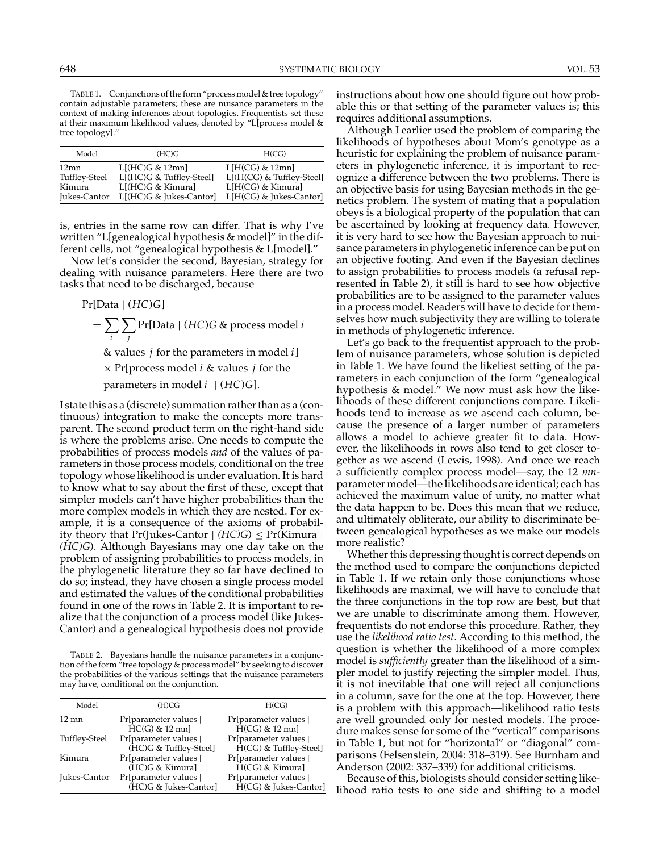TABLE 1. Conjunctions of the form "process model & tree topology" contain adjustable parameters; these are nuisance parameters in the context of making inferences about topologies. Frequentists set these at their maximum likelihood values, denoted by "L[process model & tree topology]."

| Model         | (HC)G                    | H(CG)                     |
|---------------|--------------------------|---------------------------|
| 12mn          | L[(HC)G & 12mn]          | L[H(CG) & 12mn]           |
| Tuffley-Steel | L[(HC)G & Tuffley-Steel] | L[(H(CG) & Tuffley-Steel] |
| Kimura        | L[(HC)G & Kimura]        | L[H(CG) & Kimura]         |
| Jukes-Cantor  | L[(HC)G & Jukes-Cantor]  | L[H(CG) & Jukes-Cantor]   |

is, entries in the same row can differ. That is why I've written "L[genealogical hypothesis & model]" in the different cells, not "genealogical hypothesis & L[model]."

Now let's consider the second, Bayesian, strategy for dealing with nuisance parameters. Here there are two tasks that need to be discharged, because

Pr[Data | (*HC*)*G*]

$$
= \sum_{i} \sum_{j} \Pr[\text{Data} \mid (HC)G \& \text{ process model } i
$$

& values *j* for the parameters in model *i*]

× Pr[process model *i* & values *j* for the

parameters in model *i* | (*HC*)*G*].

I state this as a (discrete) summation rather than as a (continuous) integration to make the concepts more transparent. The second product term on the right-hand side is where the problems arise. One needs to compute the probabilities of process models *and* of the values of parameters in those process models, conditional on the tree topology whose likelihood is under evaluation. It is hard to know what to say about the first of these, except that simpler models can't have higher probabilities than the more complex models in which they are nested. For example, it is a consequence of the axioms of probability theory that Pr(Jukes-Cantor  $|$  *(HC)G)*  $\leq$  Pr(Kimura  $|$ *(HC)G*). Although Bayesians may one day take on the problem of assigning probabilities to process models, in the phylogenetic literature they so far have declined to do so; instead, they have chosen a single process model and estimated the values of the conditional probabilities found in one of the rows in Table 2. It is important to realize that the conjunction of a process model (like Jukes-Cantor) and a genealogical hypothesis does not provide

TABLE 2. Bayesians handle the nuisance parameters in a conjunction of the form "tree topology & process model" by seeking to discover the probabilities of the various settings that the nuisance parameters may have, conditional on the conjunction.

| Model           | (H)CG                                           | H(CG)                                           |
|-----------------|-------------------------------------------------|-------------------------------------------------|
| $12 \text{ mm}$ | Pr[parameter values  <br>$HC(G)$ & 12 mn]       | Pr[parameter values  <br>$H(CG)$ & 12 mn        |
| Tuffley-Steel   | Pr[parameter values  <br>(HC)G & Tuffley-Steel] | Pr[parameter values  <br>H(CG) & Tuffley-Steel] |
| Kimura          | Pr[parameter values  <br>(HC)G & Kimura]        | Pr[parameter values  <br>$H(CG)$ & Kimura]      |
| Jukes-Cantor    | Pr[parameter values  <br>(HC)G & Jukes-Cantor]  | Pr[parameter values  <br>H(CG) & Jukes-Cantor]  |

instructions about how one should figure out how probable this or that setting of the parameter values is; this requires additional assumptions.

Although I earlier used the problem of comparing the likelihoods of hypotheses about Mom's genotype as a heuristic for explaining the problem of nuisance parameters in phylogenetic inference, it is important to recognize a difference between the two problems. There is an objective basis for using Bayesian methods in the genetics problem. The system of mating that a population obeys is a biological property of the population that can be ascertained by looking at frequency data. However, it is very hard to see how the Bayesian approach to nuisance parameters in phylogenetic inference can be put on an objective footing. And even if the Bayesian declines to assign probabilities to process models (a refusal represented in Table 2), it still is hard to see how objective probabilities are to be assigned to the parameter values in a process model. Readers will have to decide for themselves how much subjectivity they are willing to tolerate in methods of phylogenetic inference.

Let's go back to the frequentist approach to the problem of nuisance parameters, whose solution is depicted in Table 1. We have found the likeliest setting of the parameters in each conjunction of the form "genealogical hypothesis & model." We now must ask how the likelihoods of these different conjunctions compare. Likelihoods tend to increase as we ascend each column, because the presence of a larger number of parameters allows a model to achieve greater fit to data. However, the likelihoods in rows also tend to get closer together as we ascend (Lewis, 1998). And once we reach a sufficiently complex process model—say, the 12 *mn*parameter model—the likelihoods are identical; each has achieved the maximum value of unity, no matter what the data happen to be. Does this mean that we reduce, and ultimately obliterate, our ability to discriminate between genealogical hypotheses as we make our models more realistic?

Whether this depressing thought is correct depends on the method used to compare the conjunctions depicted in Table 1. If we retain only those conjunctions whose likelihoods are maximal, we will have to conclude that the three conjunctions in the top row are best, but that we are unable to discriminate among them. However, frequentists do not endorse this procedure. Rather, they use the *likelihood ratio test*. According to this method, the question is whether the likelihood of a more complex model is *sufficiently* greater than the likelihood of a simpler model to justify rejecting the simpler model. Thus, it is not inevitable that one will reject all conjunctions in a column, save for the one at the top. However, there is a problem with this approach—likelihood ratio tests are well grounded only for nested models. The procedure makes sense for some of the "vertical" comparisons in Table 1, but not for "horizontal" or "diagonal" comparisons (Felsenstein, 2004: 318–319). See Burnham and Anderson (2002: 337–339) for additional criticisms.

Because of this, biologists should consider setting likelihood ratio tests to one side and shifting to a model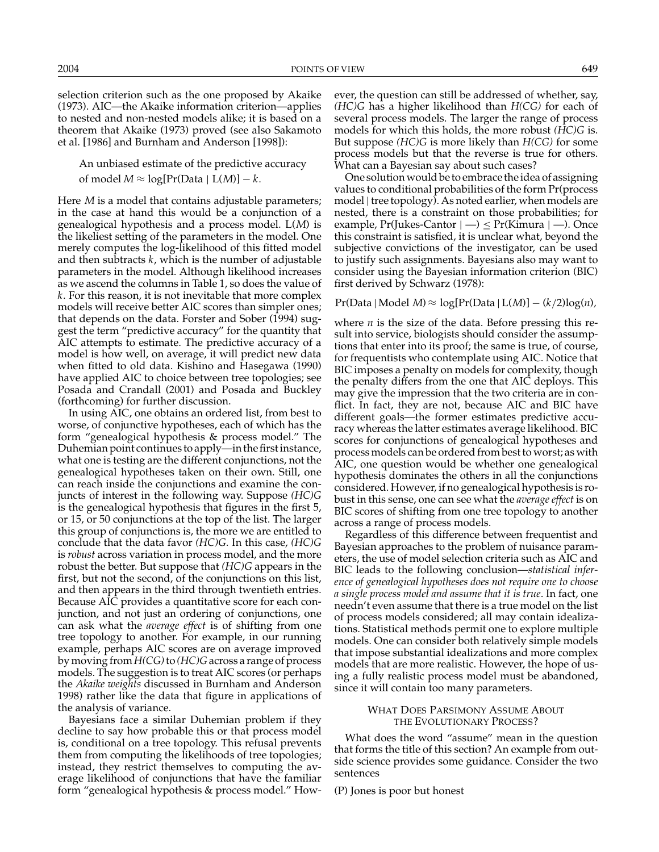selection criterion such as the one proposed by Akaike (1973). AIC—the Akaike information criterion—applies to nested and non-nested models alike; it is based on a theorem that Akaike (1973) proved (see also Sakamoto et al. [1986] and Burnham and Anderson [1998]):

# An unbiased estimate of the predictive accuracy of model *M* ≈ log[Pr(Data | L(*M*)] − *k*.

Here *M* is a model that contains adjustable parameters; in the case at hand this would be a conjunction of a genealogical hypothesis and a process model. L(*M*) is the likeliest setting of the parameters in the model. One merely computes the log-likelihood of this fitted model and then subtracts *k*, which is the number of adjustable parameters in the model. Although likelihood increases as we ascend the columns in Table 1, so does the value of *k*. For this reason, it is not inevitable that more complex models will receive better AIC scores than simpler ones; that depends on the data. Forster and Sober (1994) suggest the term "predictive accuracy" for the quantity that AIC attempts to estimate. The predictive accuracy of a model is how well, on average, it will predict new data when fitted to old data. Kishino and Hasegawa (1990) have applied AIC to choice between tree topologies; see Posada and Crandall (2001) and Posada and Buckley (forthcoming) for further discussion.

In using AIC, one obtains an ordered list, from best to worse, of conjunctive hypotheses, each of which has the form "genealogical hypothesis & process model." The Duhemian point continues to apply—in the first instance, what one is testing are the different conjunctions, not the genealogical hypotheses taken on their own. Still, one can reach inside the conjunctions and examine the conjuncts of interest in the following way. Suppose *(HC)G* is the genealogical hypothesis that figures in the first 5, or 15, or 50 conjunctions at the top of the list. The larger this group of conjunctions is, the more we are entitled to conclude that the data favor *(HC)G*. In this case, *(HC)G* is *robust* across variation in process model, and the more robust the better. But suppose that *(HC)G* appears in the first, but not the second, of the conjunctions on this list, and then appears in the third through twentieth entries. Because AIC provides a quantitative score for each conjunction, and not just an ordering of conjunctions, one can ask what the *average effect* is of shifting from one tree topology to another. For example, in our running example, perhaps AIC scores are on average improved by moving from *H(CG)*to *(HC)G* across a range of process models. The suggestion is to treat AIC scores (or perhaps the *Akaike weights* discussed in Burnham and Anderson 1998) rather like the data that figure in applications of the analysis of variance.

Bayesians face a similar Duhemian problem if they decline to say how probable this or that process model is, conditional on a tree topology. This refusal prevents them from computing the likelihoods of tree topologies; instead, they restrict themselves to computing the average likelihood of conjunctions that have the familiar form "genealogical hypothesis & process model." However, the question can still be addressed of whether, say, *(HC)G* has a higher likelihood than *H(CG)* for each of several process models. The larger the range of process models for which this holds, the more robust *(HC)G* is. But suppose *(HC)G* is more likely than *H(CG)* for some process models but that the reverse is true for others. What can a Bayesian say about such cases?

One solution would be to embrace the idea of assigning values to conditional probabilities of the form Pr(process model | tree topology). As noted earlier, when models are nested, there is a constraint on those probabilities; for example, Pr(Jukes-Cantor  $| \_\rangle \leq Pr(Kimura | \_\)$ . Once this constraint is satisfied, it is unclear what, beyond the subjective convictions of the investigator, can be used to justify such assignments. Bayesians also may want to consider using the Bayesian information criterion (BIC) first derived by Schwarz (1978):

### $Pr(Data | Model M) \approx log[Pr(Data | L(M)] - (k/2)log(n)$

where *n* is the size of the data. Before pressing this result into service, biologists should consider the assumptions that enter into its proof; the same is true, of course, for frequentists who contemplate using AIC. Notice that BIC imposes a penalty on models for complexity, though the penalty differs from the one that AIC deploys. This may give the impression that the two criteria are in conflict. In fact, they are not, because AIC and BIC have different goals—the former estimates predictive accuracy whereas the latter estimates average likelihood. BIC scores for conjunctions of genealogical hypotheses and process models can be ordered from best to worst; as with AIC, one question would be whether one genealogical hypothesis dominates the others in all the conjunctions considered. However, if no genealogical hypothesis is robust in this sense, one can see what the *average effect* is on BIC scores of shifting from one tree topology to another across a range of process models.

Regardless of this difference between frequentist and Bayesian approaches to the problem of nuisance parameters, the use of model selection criteria such as AIC and BIC leads to the following conclusion—*statistical inference of genealogical hypotheses does not require one to choose a single process model and assume that it is true*. In fact, one needn't even assume that there is a true model on the list of process models considered; all may contain idealizations. Statistical methods permit one to explore multiple models. One can consider both relatively simple models that impose substantial idealizations and more complex models that are more realistic. However, the hope of using a fully realistic process model must be abandoned, since it will contain too many parameters.

## WHAT DOES PARSIMONY ASSUME ABOUT THE EVOLUTIONARY PROCESS?

What does the word "assume" mean in the question that forms the title of this section? An example from outside science provides some guidance. Consider the two sentences

(P) Jones is poor but honest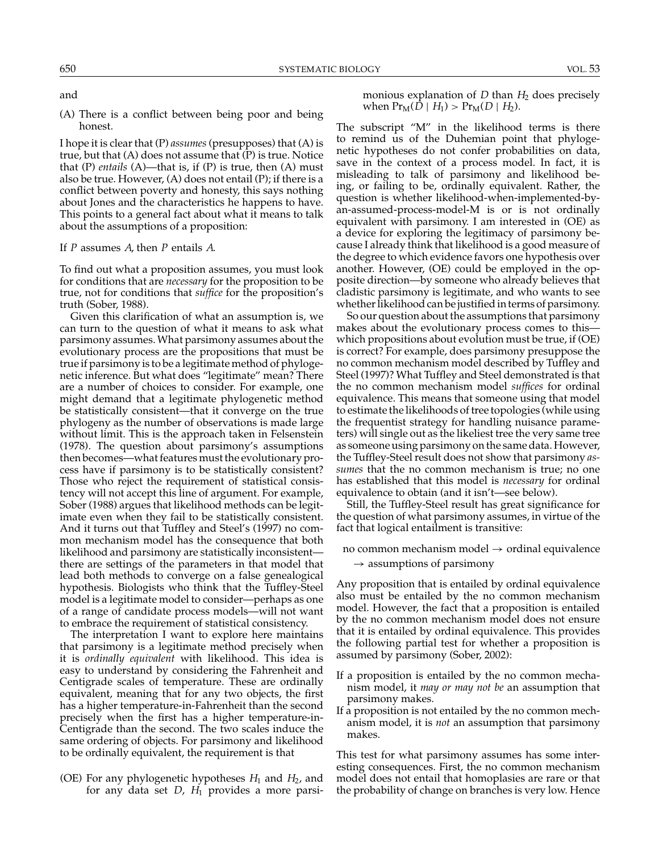and

(A) There is a conflict between being poor and being honest.

I hope it is clear that (P) *assumes* (presupposes) that (A) is true, but that (A) does not assume that (P) is true. Notice that (P) *entails* (A)—that is, if (P) is true, then (A) must also be true. However, (A) does not entail (P); if there is a conflict between poverty and honesty, this says nothing about Jones and the characteristics he happens to have. This points to a general fact about what it means to talk about the assumptions of a proposition:

## If *P* assumes *A*, then *P* entails *A*.

To find out what a proposition assumes, you must look for conditions that are *necessary* for the proposition to be true, not for conditions that *suffice* for the proposition's truth (Sober, 1988).

Given this clarification of what an assumption is, we can turn to the question of what it means to ask what parsimony assumes. What parsimony assumes about the evolutionary process are the propositions that must be true if parsimony is to be a legitimate method of phylogenetic inference. But what does "legitimate" mean? There are a number of choices to consider. For example, one might demand that a legitimate phylogenetic method be statistically consistent—that it converge on the true phylogeny as the number of observations is made large without limit. This is the approach taken in Felsenstein (1978). The question about parsimony's assumptions then becomes—what features must the evolutionary process have if parsimony is to be statistically consistent? Those who reject the requirement of statistical consistency will not accept this line of argument. For example, Sober (1988) argues that likelihood methods can be legitimate even when they fail to be statistically consistent. And it turns out that Tuffley and Steel's (1997) no common mechanism model has the consequence that both likelihood and parsimony are statistically inconsistent there are settings of the parameters in that model that lead both methods to converge on a false genealogical hypothesis. Biologists who think that the Tuffley-Steel model is a legitimate model to consider—perhaps as one of a range of candidate process models—will not want to embrace the requirement of statistical consistency.

The interpretation I want to explore here maintains that parsimony is a legitimate method precisely when it is *ordinally equivalent* with likelihood. This idea is easy to understand by considering the Fahrenheit and Centigrade scales of temperature. These are ordinally equivalent, meaning that for any two objects, the first has a higher temperature-in-Fahrenheit than the second precisely when the first has a higher temperature-in-Centigrade than the second. The two scales induce the same ordering of objects. For parsimony and likelihood to be ordinally equivalent, the requirement is that

(OE) For any phylogenetic hypotheses  $H_1$  and  $H_2$ , and for any data set *D*, *H*<sup>1</sup> provides a more parsimonious explanation of  $D$  than  $H_2$  does precisely when  $Pr_M(D \mid H_1) > Pr_M(D \mid H_2)$ .

The subscript "M" in the likelihood terms is there to remind us of the Duhemian point that phylogenetic hypotheses do not confer probabilities on data, save in the context of a process model. In fact, it is misleading to talk of parsimony and likelihood being, or failing to be, ordinally equivalent. Rather, the question is whether likelihood-when-implemented-byan-assumed-process-model-M is or is not ordinally equivalent with parsimony. I am interested in (OE) as a device for exploring the legitimacy of parsimony because I already think that likelihood is a good measure of the degree to which evidence favors one hypothesis over another. However, (OE) could be employed in the opposite direction—by someone who already believes that cladistic parsimony is legitimate, and who wants to see whether likelihood can be justified in terms of parsimony.

So our question about the assumptions that parsimony makes about the evolutionary process comes to this which propositions about evolution must be true, if (OE) is correct? For example, does parsimony presuppose the no common mechanism model described by Tuffley and Steel (1997)? What Tuffley and Steel demonstrated is that the no common mechanism model *suffices* for ordinal equivalence. This means that someone using that model to estimate the likelihoods of tree topologies (while using the frequentist strategy for handling nuisance parameters) will single out as the likeliest tree the very same tree as someone using parsimony on the same data. However, the Tuffley-Steel result does not show that parsimony *assumes* that the no common mechanism is true; no one has established that this model is *necessary* for ordinal equivalence to obtain (and it isn't—see below).

Still, the Tuffley-Steel result has great significance for the question of what parsimony assumes, in virtue of the fact that logical entailment is transitive:

- no common mechanism model  $\rightarrow$  ordinal equivalence
	- $\rightarrow$  assumptions of parsimony

Any proposition that is entailed by ordinal equivalence also must be entailed by the no common mechanism model. However, the fact that a proposition is entailed by the no common mechanism model does not ensure that it is entailed by ordinal equivalence. This provides the following partial test for whether a proposition is assumed by parsimony (Sober, 2002):

- If a proposition is entailed by the no common mechanism model, it *may or may not be* an assumption that parsimony makes.
- If a proposition is not entailed by the no common mechanism model, it is *not* an assumption that parsimony makes.

This test for what parsimony assumes has some interesting consequences. First, the no common mechanism model does not entail that homoplasies are rare or that the probability of change on branches is very low. Hence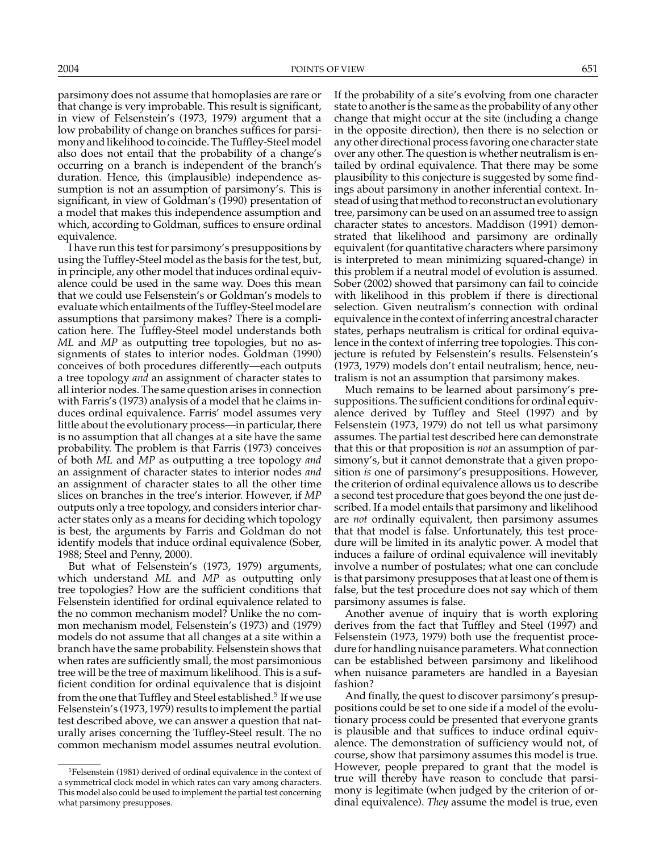parsimony does not assume that homoplasies are rare or that change is very improbable. This result is significant, in view of Felsenstein's (1973, 1979) argument that a low probability of change on branches suffices for parsimony and likelihood to coincide. The Tuffley-Steel model also does not entail that the probability of a change's occurring on a branch is independent of the branch's duration. Hence, this (implausible) independence assumption is not an assumption of parsimony's. This is significant, in view of Goldman's (1990) presentation of a model that makes this independence assumption and which, according to Goldman, suffices to ensure ordinal equivalence.

I have run this test for parsimony's presuppositions by using the Tuffley-Steel model as the basis for the test, but, in principle, any other model that induces ordinal equivalence could be used in the same way. Does this mean that we could use Felsenstein's or Goldman's models to evaluate which entailments of the Tuffley-Steel model are assumptions that parsimony makes? There is a complication here. The Tuffley-Steel model understands both *ML* and *MP* as outputting tree topologies, but no assignments of states to interior nodes. Goldman (1990) conceives of both procedures differently—each outputs a tree topology *and* an assignment of character states to all interior nodes. The same question arises in connection with Farris's (1973) analysis of a model that he claims induces ordinal equivalence. Farris' model assumes very little about the evolutionary process—in particular, there is no assumption that all changes at a site have the same probability. The problem is that Farris (1973) conceives of both *ML* and *MP* as outputting a tree topology *and* an assignment of character states to interior nodes *and* an assignment of character states to all the other time slices on branches in the tree's interior. However, if *MP* outputs only a tree topology, and considers interior character states only as a means for deciding which topology is best, the arguments by Farris and Goldman do not identify models that induce ordinal equivalence (Sober, 1988; Steel and Penny, 2000).

But what of Felsenstein's (1973, 1979) arguments, which understand *ML* and *MP* as outputting only tree topologies? How are the sufficient conditions that Felsenstein identified for ordinal equivalence related to the no common mechanism model? Unlike the no common mechanism model, Felsenstein's (1973) and (1979) models do not assume that all changes at a site within a branch have the same probability. Felsenstein shows that when rates are sufficiently small, the most parsimonious tree will be the tree of maximum likelihood. This is a sufficient condition for ordinal equivalence that is disjoint from the one that Tuffley and Steel established.<sup>5</sup> If we use Felsenstein's (1973, 1979) results to implement the partial test described above, we can answer a question that naturally arises concerning the Tuffley-Steel result. The no common mechanism model assumes neutral evolution.

If the probability of a site's evolving from one character state to another is the same as the probability of any other change that might occur at the site (including a change in the opposite direction), then there is no selection or any other directional process favoring one character state over any other. The question is whether neutralism is entailed by ordinal equivalence. That there may be some plausibility to this conjecture is suggested by some findings about parsimony in another inferential context. Instead of using that method to reconstruct an evolutionary tree, parsimony can be used on an assumed tree to assign character states to ancestors. Maddison (1991) demonstrated that likelihood and parsimony are ordinally equivalent (for quantitative characters where parsimony is interpreted to mean minimizing squared-change) in this problem if a neutral model of evolution is assumed. Sober (2002) showed that parsimony can fail to coincide with likelihood in this problem if there is directional selection. Given neutralism's connection with ordinal equivalence in the context of inferring ancestral character states, perhaps neutralism is critical for ordinal equivalence in the context of inferring tree topologies. This conjecture is refuted by Felsenstein's results. Felsenstein's (1973, 1979) models don't entail neutralism; hence, neutralism is not an assumption that parsimony makes.

Much remains to be learned about parsimony's presuppositions. The sufficient conditions for ordinal equivalence derived by Tuffley and Steel (1997) and by Felsenstein (1973, 1979) do not tell us what parsimony assumes. The partial test described here can demonstrate that this or that proposition is *not* an assumption of parsimony's, but it cannot demonstrate that a given proposition *is* one of parsimony's presuppositions. However, the criterion of ordinal equivalence allows us to describe a second test procedure that goes beyond the one just described. If a model entails that parsimony and likelihood are *not* ordinally equivalent, then parsimony assumes that that model is false. Unfortunately, this test procedure will be limited in its analytic power. A model that induces a failure of ordinal equivalence will inevitably involve a number of postulates; what one can conclude is that parsimony presupposes that at least one of them is false, but the test procedure does not say which of them parsimony assumes is false.

Another avenue of inquiry that is worth exploring derives from the fact that Tuffley and Steel (1997) and Felsenstein (1973, 1979) both use the frequentist procedure for handling nuisance parameters. What connection can be established between parsimony and likelihood when nuisance parameters are handled in a Bayesian fashion?

And finally, the quest to discover parsimony's presuppositions could be set to one side if a model of the evolutionary process could be presented that everyone grants is plausible and that suffices to induce ordinal equivalence. The demonstration of sufficiency would not, of course, show that parsimony assumes this model is true. However, people prepared to grant that the model is true will thereby have reason to conclude that parsimony is legitimate (when judged by the criterion of ordinal equivalence). *They* assume the model is true, even

<sup>5</sup>Felsenstein (1981) derived of ordinal equivalence in the context of a symmetrical clock model in which rates can vary among characters. This model also could be used to implement the partial test concerning what parsimony presupposes.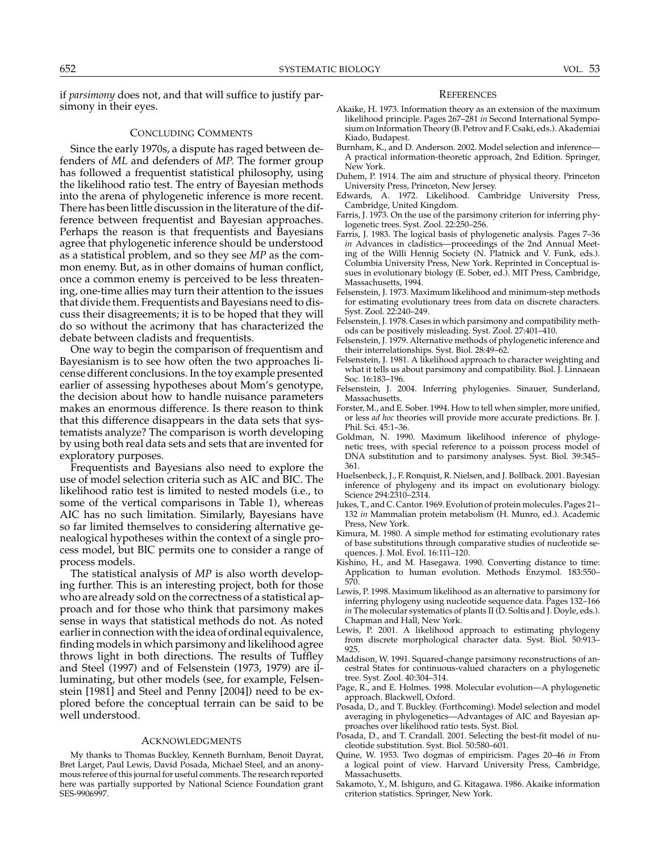if *parsimony* does not, and that will suffice to justify parsimony in their eyes.

#### CONCLUDING COMMENTS

Since the early 1970s, a dispute has raged between defenders of *ML* and defenders of *MP.* The former group has followed a frequentist statistical philosophy, using the likelihood ratio test. The entry of Bayesian methods into the arena of phylogenetic inference is more recent. There has been little discussion in the literature of the difference between frequentist and Bayesian approaches. Perhaps the reason is that frequentists and Bayesians agree that phylogenetic inference should be understood as a statistical problem, and so they see *MP* as the common enemy. But, as in other domains of human conflict, once a common enemy is perceived to be less threatening, one-time allies may turn their attention to the issues that divide them. Frequentists and Bayesians need to discuss their disagreements; it is to be hoped that they will do so without the acrimony that has characterized the debate between cladists and frequentists.

One way to begin the comparison of frequentism and Bayesianism is to see how often the two approaches license different conclusions. In the toy example presented earlier of assessing hypotheses about Mom's genotype, the decision about how to handle nuisance parameters makes an enormous difference. Is there reason to think that this difference disappears in the data sets that systematists analyze? The comparison is worth developing by using both real data sets and sets that are invented for exploratory purposes.

Frequentists and Bayesians also need to explore the use of model selection criteria such as AIC and BIC. The likelihood ratio test is limited to nested models (i.e., to some of the vertical comparisons in Table 1), whereas AIC has no such limitation. Similarly, Bayesians have so far limited themselves to considering alternative genealogical hypotheses within the context of a single process model, but BIC permits one to consider a range of process models.

The statistical analysis of *MP* is also worth developing further. This is an interesting project, both for those who are already sold on the correctness of a statistical approach and for those who think that parsimony makes sense in ways that statistical methods do not. As noted earlier in connection with the idea of ordinal equivalence, finding models in which parsimony and likelihood agree throws light in both directions. The results of Tuffley and Steel (1997) and of Felsenstein (1973, 1979) are illuminating, but other models (see, for example, Felsenstein [1981] and Steel and Penny [2004]) need to be explored before the conceptual terrain can be said to be well understood.

#### ACKNOWLEDGMENTS

My thanks to Thomas Buckley, Kenneth Burnham, Benoit Dayrat, Bret Larget, Paul Lewis, David Posada, Michael Steel, and an anonymous referee of this journal for useful comments. The research reported here was partially supported by National Science Foundation grant SES-9906997.

#### **REFERENCES**

- Akaike, H. 1973. Information theory as an extension of the maximum likelihood principle. Pages 267–281 *in* Second International Symposium on Information Theory (B. Petrov and F. Csaki, eds.). Akademiai Kiado, Budapest.
- Burnham, K., and D. Anderson. 2002. Model selection and inference— A practical information-theoretic approach, 2nd Edition. Springer, New York.
- Duhem, P. 1914. The aim and structure of physical theory. Princeton University Press, Princeton, New Jersey.
- Edwards, A. 1972. Likelihood. Cambridge University Press, Cambridge, United Kingdom.
- Farris, J. 1973. On the use of the parsimony criterion for inferring phylogenetic trees. Syst. Zool. 22:250–256.
- Farris, J. 1983. The logical basis of phylogenetic analysis. Pages 7–36 *in* Advances in cladistics—proceedings of the 2nd Annual Meeting of the Willi Hennig Society (N. Platnick and V. Funk, eds.). Columbia University Press, New York. Reprinted in Conceptual issues in evolutionary biology (E. Sober, ed.). MIT Press, Cambridge, Massachusetts, 1994.
- Felsenstein, J. 1973. Maximum likelihood and minimum-step methods for estimating evolutionary trees from data on discrete characters. Syst. Zool. 22:240–249.
- Felsenstein, J. 1978. Cases in which parsimony and compatibility methods can be positively misleading. Syst. Zool. 27:401–410.
- Felsenstein, J. 1979. Alternative methods of phylogenetic inference and their interrelationships. Syst. Biol. 28:49–62.
- Felsenstein, J. 1981. A likelihood approach to character weighting and what it tells us about parsimony and compatibility. Biol. J. Linnaean Soc. 16:183–196.
- Felsenstein, J. 2004. Inferring phylogenies. Sinauer, Sunderland, Massachusetts.
- Forster, M., and E. Sober. 1994. How to tell when simpler, more unified, or less *ad hoc* theories will provide more accurate predictions. Br. J. Phil. Sci. 45:1–36.
- Goldman, N. 1990. Maximum likelihood inference of phylogenetic trees, with special reference to a poisson process model of DNA substitution and to parsimony analyses. Syst. Biol. 39:345– 361.
- Huelsenbeck, J., F. Ronquist, R. Nielsen, and J. Bollback. 2001. Bayesian inference of phylogeny and its impact on evolutionary biology. Science 294:2310–2314.
- Jukes, T., and C. Cantor. 1969. Evolution of protein molecules. Pages 21– 132 *in* Mammalian protein metabolism (H. Munro, ed.). Academic Press, New York.
- Kimura, M. 1980. A simple method for estimating evolutionary rates of base substitutions through comparative studies of nucleotide sequences. J. Mol. Evol. 16:111–120.
- Kishino, H., and M. Hasegawa. 1990. Converting distance to time: Application to human evolution. Methods Enzymol. 183:550– 570.
- Lewis, P. 1998. Maximum likelihood as an alternative to parsimony for inferring phylogeny using nucleotide sequence data. Pages 132–166 *in* The molecular systematics of plants II (D. Soltis and J. Doyle, eds.). Chapman and Hall, New York.
- Lewis, P. 2001. A likelihood approach to estimating phylogeny from discrete morphological character data. Syst. Biol. 50:913– 925.
- Maddison, W. 1991. Squared-change parsimony reconstructions of ancestral States for continuous-valued characters on a phylogenetic tree. Syst. Zool. 40:304–314.
- Page, R., and E. Holmes. 1998. Molecular evolution—A phylogenetic approach. Blackwell, Oxford.
- Posada, D., and T. Buckley. (Forthcoming). Model selection and model averaging in phylogenetics—Advantages of AIC and Bayesian approaches over likelihood ratio tests. Syst. Biol.
- Posada, D., and T. Crandall. 2001. Selecting the best-fit model of nucleotide substitution. Syst. Biol. 50:580–601.
- Quine, W. 1953. Two dogmas of empiricism. Pages 20–46 *in* From a logical point of view. Harvard University Press, Cambridge, Massachusetts.
- Sakamoto, Y., M. Ishiguro, and G. Kitagawa. 1986. Akaike information criterion statistics. Springer, New York.